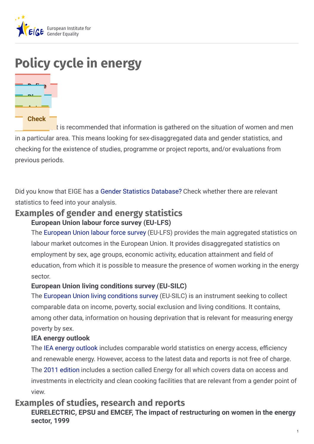

# **Policy cycle in energy**



It is recommended that information is gathered on the situation of women and men in a particular area. This means looking for sex-disaggregated data and gender statistics, and checking for the existence of studies, programme or project reports, and/or evaluations from previous periods.

Did you know that EIGE has a Gender Statistics [Database?](http://eige.europa.eu/gender-statistics/dgs) Check whether there are relevant statistics to feed into your analysis.

# **Examples of gender and energy statistics European Union labour force survey (EU-LFS)**

The [European](http://ec.europa.eu/eurostat/web/lfs/data/database) Union labour force survey (EU-LFS) provides the main aggregated statistics on labour market outcomes in the European Union. It provides disaggregated statistics on employment by sex, age groups, economic activity, education attainment and field of education, from which it is possible to measure the presence of women working in the energy sector.

#### **European Union living conditions survey (EU-SILC)**

The European Union living [conditions](http://ec.europa.eu/eurostat/web/income-and-living-conditions/data/main-tables) survey (EU-SILC) is an instrument seeking to collect comparable data on income, poverty, social exclusion and living conditions. It contains, among other data, information on housing deprivation that is relevant for measuring energy poverty by sex.

#### **IEA energy outlook**

The IEA energy [outlook](https://www.iea.org/reports/world-energy-outlook-2011) includes comparable world statistics on energy access, efficiency and renewable energy. However, access to the latest data and reports is not free of charge. The 2011 [edition](http://www.worldenergyoutlook.org/publications/weo-2011/) includes a section called Energy for all which covers data on access and investments in electricity and clean cooking facilities that are relevant from a gender point of view.

# **Examples of studies, research and reports**

**EURELECTRIC, EPSU and EMCEF, The impact of restructuring on women in the energy sector, 1999**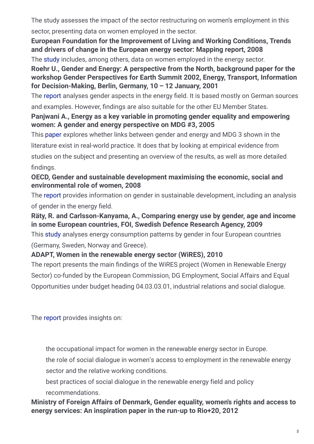The study assesses the impact of the sector restructuring on women's employment in this sector, presenting data on women employed in the sector.

## **European Foundation for the Improvement of Living and Working Conditions, Trends and drivers of change in the European energy sector: Mapping report, 2008**

The [study](http://www.eurofound.europa.eu/pubdocs/2008/12/en/1/ef0812en.pdf) includes, among others, data on women employed in the energy sector.

#### **Roehr U., Gender and Energy: A perspective from the North, background paper for the workshop Gender Perspectives for Earth Summit 2002, Energy, Transport, Information for Decision-Making, Berlin, Germany, 10 – 12 January, 2001**

The [report](https://www.researchgate.net/profile/Ulrike-Roehr/publication/265156053_Gender_and_Energy_in_the_North/links/54cfbd710cf24601c0958994/Gender-and-Energy-in-the-North.pdf) analyses gender aspects in the energy field. It is based mostly on German sources

and examples. However, findings are also suitable for the other EU Member States.

#### **Panjwani A., Energy as a key variable in promoting gender equality and empowering women: A gender and energy perspective on MDG #3, 2005**

This [paper](http://r4d.dfid.gov.uk/PDF/Outputs/Energy/R8346_mdg_goal3.pdf) explores whether links between gender and energy and MDG 3 shown in the

literature exist in real-world practice. It does that by looking at empirical evidence from

studies on the subject and presenting an overview of the results, as well as more detailed findings.

## **OECD, Gender and sustainable development maximising the economic, social and environmental role of women, 2008**

The [report](http://www.oecd.org/social/40881538.pdf) provides information on gender in sustainable development, including an analysis of gender in the energy field.

**Räty, R. and Carlsson-Kanyama, A., Comparing energy use by gender, age and income in some European countries, FOI, Swedish Defence Research Agency, 2009**

This [study](http://www.compromisorse.com/upload/estudios/000/101/foir2800.pdf) analyses energy consumption patterns by gender in four European countries (Germany, Sweden, Norway and Greece).

# **ADAPT, Women in the renewable energy sector (WiRES), 2010**

The report presents the main findings of the WiRES project (Women in Renewable Energy Sector) co-funded by the European Commission, DG Employment, Social Affairs and Equal Opportunities under budget heading 04.03.03.01, industrial relations and social dialogue.

The [report](http://www.greengrowthknowledge.org/project/wires-women-renewable-energy-sector) provides insights on:

the occupational impact for women in the renewable energy sector in Europe.

the role of social dialogue in women's access to employment in the renewable energy sector and the relative working conditions.

best practices of social dialogue in the renewable energy field and policy recommendations.

#### **Ministry of Foreign Affairs of Denmark, Gender equality, women's rights and access to energy services: An inspiration paper in the run-up to Rio+20, 2012**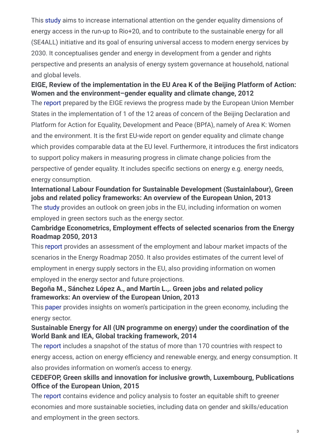This [study](https://www.kit.nl/wp-content/uploads/2018/08/1975_Gender-Rights-and-Energy-Report-final.pdf) aims to increase international attention on the gender equality dimensions of energy access in the run-up to Rio+20, and to contribute to the sustainable energy for all (SE4ALL) initiative and its goal of ensuring universal access to modern energy services by 2030. It conceptualises gender and energy in development from a gender and rights perspective and presents an analysis of energy system governance at household, national and global levels.

# **EIGE, Review of the implementation in the EU Area K of the Beijing Platform of Action: Women and the environment–gender equality and climate change, 2012**

The [report](http://eige.europa.eu/sites/default/files/Gender-Equality-and-Climate-Change-Report.pdf) prepared by the EIGE reviews the progress made by the European Union Member States in the implementation of 1 of the 12 areas of concern of the Beijing Declaration and Platform for Action for Equality, Development and Peace (BPfA), namely of Area K: Women and the environment. It is the first EU-wide report on gender equality and climate change which provides comparable data at the EU level. Furthermore, it introduces the first indicators to support policy makers in measuring progress in climate change policies from the perspective of gender equality. It includes specific sections on energy e.g. energy needs, energy consumption.

## **International Labour Foundation for Sustainable Development (Sustainlabour), Green jobs and related policy frameworks: An overview of the European Union, 2013**

The [study](https://www.skillsforemployment.org/edmsp1/idcplg?IdcService=GET_FILE&dID=351564&dDocName=WCMSTEST4_038427&allowInterrupt=1) provides an outlook on green jobs in the EU, including information on women employed in green sectors such as the energy sector.

#### **Cambridge Econometrics, Employment effects of selected scenarios from the Energy Roadmap 2050, 2013**

This [report](https://ec.europa.eu/energy/sites/ener/files/documents/2013_report_employment_effects_roadmap_2050.pdf) provides an assessment of the employment and labour market impacts of the scenarios in the Energy Roadmap 2050. It also provides estimates of the current level of employment in energy supply sectors in the EU, also providing information on women employed in the energy sector and future projections.

#### **Begoña M., Sánchez López A., and Martín L.,. Green jobs and related policy frameworks: An overview of the European Union, 2013**

This [paper](http://www.sustainlabour.org/documentos/Green and decent jobs- Compilation report.pdf) provides insights on women's participation in the green economy, including the energy sector.

#### **Sustainable Energy for All (UN programme on energy) under the coordination of the World Bank and IEA, Global tracking framework, 2014**

The [report](https://openknowledge.worldbank.org/handle/10986/16537) includes a snapshot of the status of more than 170 countries with respect to energy access, action on energy efficiency and renewable energy, and energy consumption. It also provides information on women's access to energy.

#### **CEDEFOP, Green skills and innovation for inclusive growth, Luxembourg, Publications OHce of the European Union, 2015**

The [report](http://www.cedefop.europa.eu/en/publications-and-resources/publications/3069) contains evidence and policy analysis to foster an equitable shift to greener economies and more sustainable societies, including data on gender and skills/education and employment in the green sectors.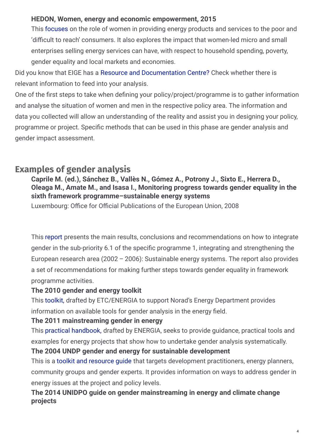#### **HEDON, Women, energy and economic empowerment, 2015**

This [focuses](https://www.esmap.org/sites/default/files/resources-document/GENDERWomen Energy and Economic Empowerment.pdf) on the role of women in providing energy products and services to the poor and 'difficult to reach' consumers. It also explores the impact that women-led micro and small enterprises selling energy services can have, with respect to household spending, poverty, gender equality and local markets and economies.

Did you know that EIGE has a Resource and [Documentation](http://eige.europa.eu/rdc) Centre? Check whether there is relevant information to feed into your analysis.

One of the first steps to take when defining your policy/project/programme is to gather information and analyse the situation of women and men in the respective policy area. The information and data you collected will allow an understanding of the reality and assist you in designing your policy, programme or project. Specific methods that can be used in this phase are gender analysis and gender impact assessment.

# **Examples of gender analysis**

# **Caprile M. (ed.), Sánchez B., Vallès N., Gómez A., Potrony J., Sixto E., Herrera D., Oleaga M., Amate M., and Isasa I., Monitoring progress towards gender equality in the sixth framework programme–sustainable energy systems**

Luxembourg: Office for Official Publications of the European Union, 2008

This [report](https://ec.europa.eu/research/science-society/document_library/pdf_06/gender-monitoring-studies-synthesis-report_en.pdf) presents the main results, conclusions and recommendations on how to integrate gender in the sub-priority 6.1 of the specific programme 1, integrating and strengthening the European research area (2002 – 2006): Sustainable energy systems. The report also provides a set of recommendations for making further steps towards gender equality in framework programme activities.

# **The 2010 gender and energy toolkit**

This [toolkit,](http://www.norad.no/globalassets/import-2162015-80434-am/www.norad.no-ny/filarkiv/ren-energi/gender-and-energy-toolkit.pdf) drafted by ETC/ENERGIA to support Norad's Energy Department provides information on available tools for gender analysis in the energy field.

# **The 2011 mainstreaming gender in energy**

This practical [handbook,](https://ppp.worldbank.org/public-private-partnership/sites/ppp.worldbank.org/files/documents/Energia_Mainstreaming_gender_in_energy_projects_A_practical_Hand_book.pdf) drafted by ENERGIA, seeks to provide guidance, practical tools and examples for energy projects that show how to undertake gender analysis systematically. **The 2004 UNDP gender and energy for sustainable development**

This is a toolkit and [resource](http://www.undp.org/content/dam/aplaws/publication/en/publications/environment-energy/www-ee-library/sustainable-energy/energy-and-gender-for-sustainable-development-a-toolkit-and-resource-guide/genderengtoolkit.pdf) guide that targets development practitioners, energy planners, community groups and gender experts. It provides information on ways to address gender in energy issues at the project and policy levels.

# **The 2014 UNIDPO guide on gender mainstreaming in energy and climate change projects**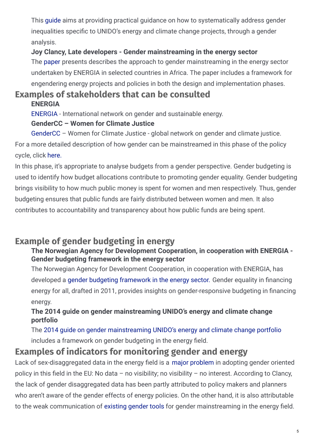This [guide](http://www.unido.org/fileadmin/user_media_upgrade/What_we_do/Topics/Women_and_Youth/Guide_on_Gender_Mainstreaming_ECC.pdf) aims at providing practical guidance on how to systematically address gender inequalities specific to UNIDO's energy and climate change projects, through a gender analysis.

#### **Joy Clancy, Late developers - Gender mainstreaming in the energy sector**

The [paper](https://www.researchgate.net/publication/228449662_Late_Developers_Gender_Mainstreaming_in_the_Energy_Sector) presents describes the approach to gender mainstreaming in the energy sector undertaken by ENERGIA in selected countries in Africa. The paper includes a framework for engendering energy projects and policies in both the design and implementation phases.

# **Examples of stakeholders that can be consulted ENERGIA**

[ENERGIA](http://energia.org/) - International network on gender and sustainable energy.

#### **GenderCC – Women for Climate Justice**

[GenderCC](http://www.gendercc.net/home.html) – Women for Climate Justice - global network on gender and climate justice. For a more detailed description of how gender can be mainstreamed in this phase of the policy

cycle, click [here.](http://eige.europa.eu/gender-mainstreaming/what-is-gender-mainstreaming)

In this phase, it's appropriate to analyse budgets from a gender perspective. Gender budgeting is used to identify how budget allocations contribute to promoting gender equality. Gender budgeting brings visibility to how much public money is spent for women and men respectively. Thus, gender budgeting ensures that public funds are fairly distributed between women and men. It also contributes to accountability and transparency about how public funds are being spent.

# **Example of gender budgeting in energy**

# **The Norwegian Agency for Development Cooperation, in cooperation with ENERGIA - Gender budgeting framework in the energy sector**

The Norwegian Agency for Development Cooperation, in cooperation with ENERGIA, has developed a gender budgeting [framework](http://www.norad.no/globalassets/import-2162015-80434-am/www.norad.no-ny/filarkiv/ren-energi/gender-and-energy/gender-equality-in-financing-energy-for-all.pdf) in the energy sector. Gender equality in financing energy for all, drafted in 2011, provides insights on gender-responsive budgeting in financing energy.

# **The 2014 guide on gender mainstreaming UNIDO's energy and climate change portfolio**

The 2014 guide on gender [mainstreaming](http://www.unido.org/fileadmin/user_media_upgrade/What_we_do/Topics/Women_and_Youth/Guide_on_Gender_Mainstreaming_ECC.pdf) UNIDO's energy and climate change portfolio includes a framework on gender budgeting in the energy field.

# **Examples of indicators for monitoring gender and energy**

Lack of sex-disaggregated data in the energy field is a major [problem](https://www.researchgate.net/publication/228449662_Late_Developers_Gender_Mainstreaming_in_the_Energy_Sector) in adopting gender oriented policy in this field in the EU: No data – no visibility; no visibility – no interest. According to Clancy, the lack of gender disaggregated data has been partly attributed to policy makers and planners who aren't aware of the gender effects of energy policies. On the other hand, it is also attributable to the weak communication of [existing](https://www.researchgate.net/publication/228449662_Late_Developers_Gender_Mainstreaming_in_the_Energy_Sector) gender tools for gender mainstreaming in the energy field.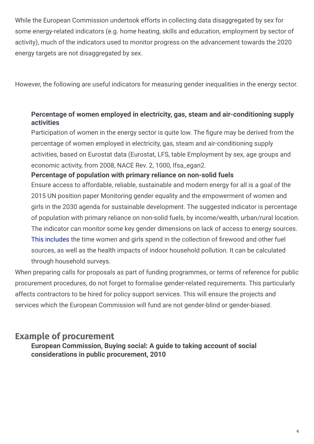While the European Commission undertook efforts in collecting data disaggregated by sex for some energy-related indicators (e.g. home heating, skills and education, employment by sector of activity), much of the indicators used to monitor progress on the advancement towards the 2020 energy targets are not disaggregated by sex.

However, the following are useful indicators for measuring gender inequalities in the energy sector.

#### **Percentage of women employed in electricity, gas, steam and air-conditioning supply activities**

Participation of women in the energy sector is quite low. The figure may be derived from the percentage of women employed in electricity, gas, steam and air-conditioning supply activities, based on Eurostat data (Eurostat, LFS, table Employment by sex, age groups and economic activity, from 2008, NACE Rev. 2, 1000, lfsa\_egan2.

#### **Percentage of population with primary reliance on non-solid fuels**

Ensure access to affordable, reliable, sustainable and modern energy for all is a goal of the 2015 UN position paper Monitoring gender equality and the empowerment of women and girls in the 2030 agenda for sustainable development. The suggested indicator is percentage of population with primary reliance on non-solid fuels, by income/wealth, urban/rural location. The indicator can monitor some key gender dimensions on lack of access to energy sources. This [includes](http://www.unwomen.org/~/media/headquarters/attachments/sections/library/publications/2015/indicatorpaper-en-final.pdf?v=1&d=20150917T233452) the time women and girls spend in the collection of firewood and other fuel sources, as well as the health impacts of indoor household pollution. It can be calculated through household surveys.

When preparing calls for proposals as part of funding programmes, or terms of reference for public procurement procedures, do not forget to formalise gender-related requirements. This particularly affects contractors to be hired for policy support services. This will ensure the projects and services which the European Commission will fund are not gender-blind or gender-biased.

# **Example of procurement**

**European Commission, Buying social: A guide to taking account of social considerations in public procurement, 2010**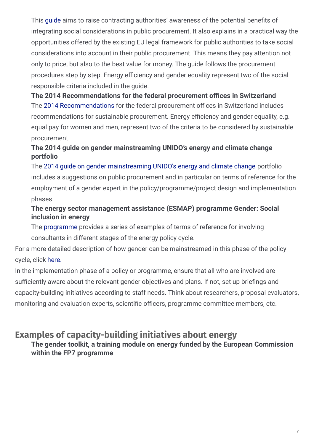This quide aims to raise contracting authorities' awareness of the potential benefits of integrating social considerations in public procurement. It also explains in a practical way the opportunities offered by the existing EU legal framework for public authorities to take social considerations into account in their public procurement. This means they pay attention not only to price, but also to the best value for money. The guide follows the procurement procedures step by step. Energy efficiency and gender equality represent two of the social responsible criteria included in the guide.

The 2014 [Recommendations](http://ec.europa.eu/environment/gpp/versus_en.htm) for the federal procurement offices in Switzerland includes recommendations for sustainable procurement. Energy efficiency and gender equality, e.g. equal pay for women and men, represent two of the criteria to be considered by sustainable procurement. **The** 2014 Recommendations for the federal procurement offices in Switzerland

## **The 2014 guide on gender mainstreaming UNIDO's energy and climate change portfolio**

The 2014 guide on gender [mainstreaming](https://www.unwomen.org/en/digital-library/publications/2013/5/guidance-note---sustainable-energy) UNIDO's energy and climate change portfolio includes a suggestions on public procurement and in particular on terms of reference for the employment of a gender expert in the policy/programme/project design and implementation phases.

#### **The energy sector management assistance (ESMAP) programme Gender: Social inclusion in energy**

The [programme](http://www.esmap.org/node/2756) provides a series of examples of terms of reference for involving consultants in different stages of the energy policy cycle.

For a more detailed description of how gender can be mainstreamed in this phase of the policy cycle, click [here.](http://eige.europa.eu/gender-mainstreaming/what-is-gender-mainstreaming)

In the implementation phase of a policy or programme, ensure that all who are involved are sufficiently aware about the relevant gender objectives and plans. If not, set up briefings and capacity-building initiatives according to staff needs. Think about researchers, proposal evaluators, monitoring and evaluation experts, scientific officers, programme committee members, etc.

# **Examples of capacity-building initiatives about energy**

**The gender toolkit, a training module on energy funded by the European Commission within the FP7 programme**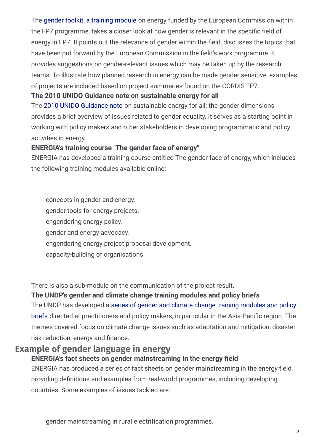The gender toolkit, a [training](http://www.yellowwindow.be/genderinresearch/downloads/YW2009_GenderToolKit_field4_Energy_001.pdf) module on energy funded by the European Commission within the FP7 programme, takes a closer look at how gender is relevant in the specific field of energy in FP7. It points out the relevance of gender within the field, discusses the topics that have been put forward by the European Commission in the field's work programme. It provides suggestions on gender-relevant issues which may be taken up by the research teams. To illustrate how planned research in energy can be made gender sensitive, examples of projects are included based on project summaries found on the CORDIS FP7.

#### **The 2010 UNIDO Guidance note on sustainable energy for all**

The 2010 UNIDO [Guidance](http://www.unido.org/fileadmin/user_media_upgrade/What_we_do/Topics/Women_and_Youth/GUIDANCENOTE_FINAL_WEB.pdf) note on sustainable energy for all: the gender dimensions provides a brief overview of issues related to gender equality. It serves as a starting point in working with policy makers and other stakeholders in developing programmatic and policy activities in energy.

#### **ENERGIA's training course "The gender face of energy"**

ENERGIA has developed a training course entitled The gender face of energy, which includes the following training modules available online:

concepts in gender and energy. gender tools for energy projects. engendering energy policy. gender and energy advocacy. engendering energy project proposal development. capacity-building of organisations.

There is also a sub-module on the communication of the project result.

#### **The UNDP's gender and climate change training modules and policy briefs**

The UNDP has developed a series of gender and climate change training modules and policy briefs directed at [practitioners](http://www.undp.org/content/dam/undp/library/gender/Gender and Environment/TM4_AsiaPacific_Capacity.pdf) and policy makers, in particular in the Asia-Pacific region. The themes covered focus on climate change issues such as adaptation and mitigation, disaster risk reduction, energy and finance.

# **Example of gender language in energy**

#### **ENERGIA's fact sheets on gender mainstreaming in the energy field**

ENERGIA has produced a series of fact sheets on gender mainstreaming in the energy field. providing definitions and examples from real-world programmes, including developing countries. Some examples of issues tackled are:

gender mainstreaming in rural electrification programmes.